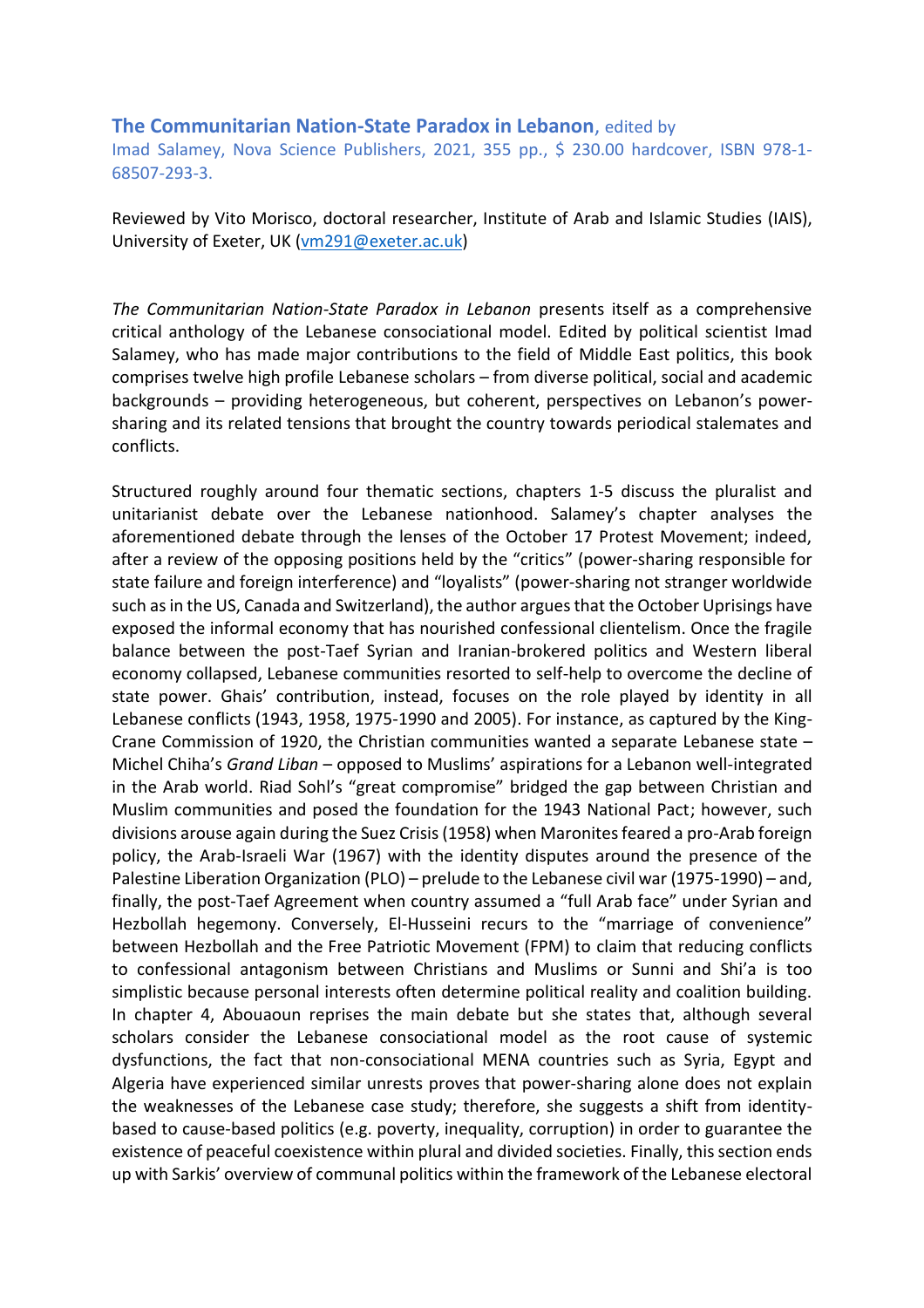## **The Communitarian Nation-State Paradox in Lebanon**, edited by

Imad Salamey, Nova Science Publishers, 2021, 355 pp., \$ 230.00 hardcover, ISBN 978-1- 68507-293-3.

Reviewed by Vito Morisco, doctoral researcher, Institute of Arab and Islamic Studies (IAIS), University of Exeter, UK [\(vm291@exeter.ac.uk\)](mailto:vm291@exeter.ac.uk)

*The Communitarian Nation-State Paradox in Lebanon* presents itself as a comprehensive critical anthology of the Lebanese consociational model. Edited by political scientist Imad Salamey, who has made major contributions to the field of Middle East politics, this book comprises twelve high profile Lebanese scholars – from diverse political, social and academic backgrounds – providing heterogeneous, but coherent, perspectives on Lebanon's powersharing and its related tensions that brought the country towards periodical stalemates and conflicts.

Structured roughly around four thematic sections, chapters 1-5 discuss the pluralist and unitarianist debate over the Lebanese nationhood. Salamey's chapter analyses the aforementioned debate through the lenses of the October 17 Protest Movement; indeed, after a review of the opposing positions held by the "critics" (power-sharing responsible for state failure and foreign interference) and "loyalists" (power-sharing not stranger worldwide such as in the US, Canada and Switzerland), the author argues that the October Uprisings have exposed the informal economy that has nourished confessional clientelism. Once the fragile balance between the post-Taef Syrian and Iranian-brokered politics and Western liberal economy collapsed, Lebanese communities resorted to self-help to overcome the decline of state power. Ghais' contribution, instead, focuses on the role played by identity in all Lebanese conflicts (1943, 1958, 1975-1990 and 2005). For instance, as captured by the King-Crane Commission of 1920, the Christian communities wanted a separate Lebanese state – Michel Chiha's *Grand Liban* – opposed to Muslims' aspirations for a Lebanon well-integrated in the Arab world. Riad Sohl's "great compromise" bridged the gap between Christian and Muslim communities and posed the foundation for the 1943 National Pact; however, such divisions arouse again during the Suez Crisis (1958) when Maronites feared a pro-Arab foreign policy, the Arab-Israeli War (1967) with the identity disputes around the presence of the Palestine Liberation Organization (PLO) – prelude to the Lebanese civil war (1975-1990) – and, finally, the post-Taef Agreement when country assumed a "full Arab face" under Syrian and Hezbollah hegemony. Conversely, El-Husseini recurs to the "marriage of convenience" between Hezbollah and the Free Patriotic Movement (FPM) to claim that reducing conflicts to confessional antagonism between Christians and Muslims or Sunni and Shi'a is too simplistic because personal interests often determine political reality and coalition building. In chapter 4, Abouaoun reprises the main debate but she states that, although several scholars consider the Lebanese consociational model as the root cause of systemic dysfunctions, the fact that non-consociational MENA countries such as Syria, Egypt and Algeria have experienced similar unrests proves that power-sharing alone does not explain the weaknesses of the Lebanese case study; therefore, she suggests a shift from identitybased to cause-based politics (e.g. poverty, inequality, corruption) in order to guarantee the existence of peaceful coexistence within plural and divided societies. Finally, this section ends up with Sarkis' overview of communal politics within the framework of the Lebanese electoral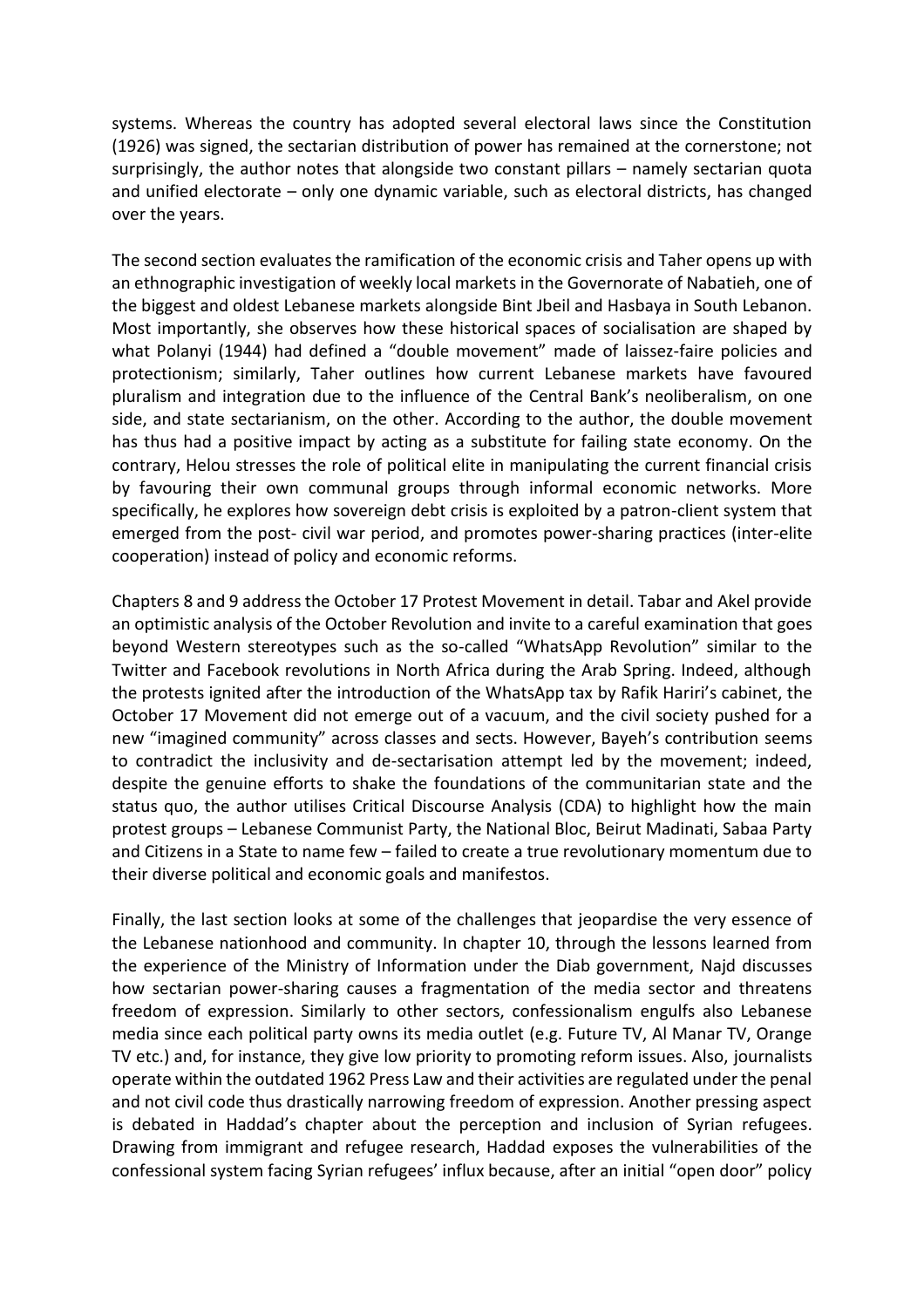systems. Whereas the country has adopted several electoral laws since the Constitution (1926) was signed, the sectarian distribution of power has remained at the cornerstone; not surprisingly, the author notes that alongside two constant pillars – namely sectarian quota and unified electorate – only one dynamic variable, such as electoral districts, has changed over the years.

The second section evaluates the ramification of the economic crisis and Taher opens up with an ethnographic investigation of weekly local markets in the Governorate of Nabatieh, one of the biggest and oldest Lebanese markets alongside Bint Jbeil and Hasbaya in South Lebanon. Most importantly, she observes how these historical spaces of socialisation are shaped by what Polanyi (1944) had defined a "double movement" made of laissez-faire policies and protectionism; similarly, Taher outlines how current Lebanese markets have favoured pluralism and integration due to the influence of the Central Bank's neoliberalism, on one side, and state sectarianism, on the other. According to the author, the double movement has thus had a positive impact by acting as a substitute for failing state economy. On the contrary, Helou stresses the role of political elite in manipulating the current financial crisis by favouring their own communal groups through informal economic networks. More specifically, he explores how sovereign debt crisis is exploited by a patron-client system that emerged from the post- civil war period, and promotes power-sharing practices (inter-elite cooperation) instead of policy and economic reforms.

Chapters 8 and 9 address the October 17 Protest Movement in detail. Tabar and Akel provide an optimistic analysis of the October Revolution and invite to a careful examination that goes beyond Western stereotypes such as the so-called "WhatsApp Revolution" similar to the Twitter and Facebook revolutions in North Africa during the Arab Spring. Indeed, although the protests ignited after the introduction of the WhatsApp tax by Rafik Hariri's cabinet, the October 17 Movement did not emerge out of a vacuum, and the civil society pushed for a new "imagined community" across classes and sects. However, Bayeh's contribution seems to contradict the inclusivity and de-sectarisation attempt led by the movement; indeed, despite the genuine efforts to shake the foundations of the communitarian state and the status quo, the author utilises Critical Discourse Analysis (CDA) to highlight how the main protest groups – Lebanese Communist Party, the National Bloc, Beirut Madinati, Sabaa Party and Citizens in a State to name few – failed to create a true revolutionary momentum due to their diverse political and economic goals and manifestos.

Finally, the last section looks at some of the challenges that jeopardise the very essence of the Lebanese nationhood and community. In chapter 10, through the lessons learned from the experience of the Ministry of Information under the Diab government, Najd discusses how sectarian power-sharing causes a fragmentation of the media sector and threatens freedom of expression. Similarly to other sectors, confessionalism engulfs also Lebanese media since each political party owns its media outlet (e.g. Future TV, Al Manar TV, Orange TV etc.) and, for instance, they give low priority to promoting reform issues. Also, journalists operate within the outdated 1962 Press Law and their activities are regulated under the penal and not civil code thus drastically narrowing freedom of expression. Another pressing aspect is debated in Haddad's chapter about the perception and inclusion of Syrian refugees. Drawing from immigrant and refugee research, Haddad exposes the vulnerabilities of the confessional system facing Syrian refugees' influx because, after an initial "open door" policy